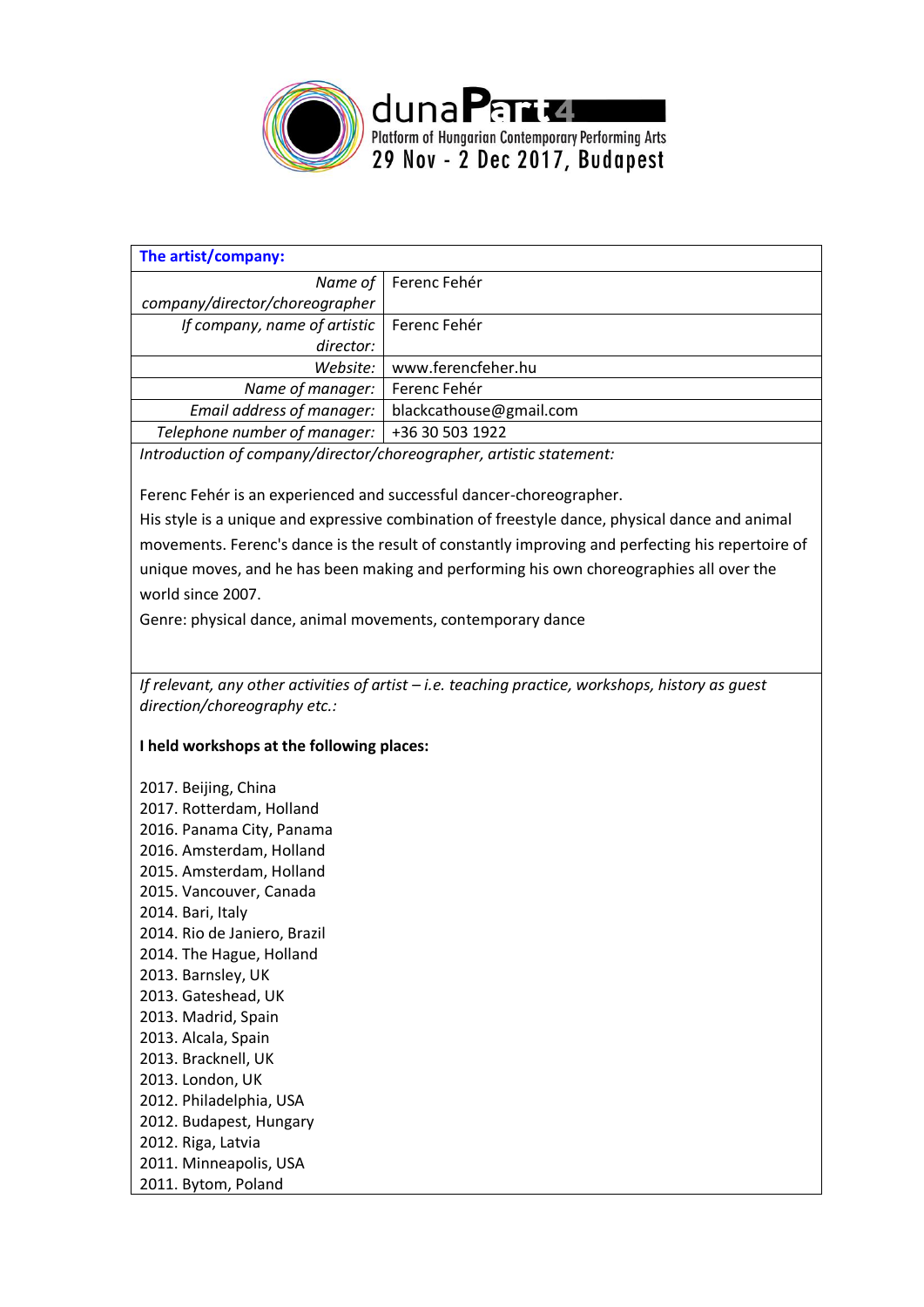

| The artist/company:                                                                               |                         |  |
|---------------------------------------------------------------------------------------------------|-------------------------|--|
| Name of                                                                                           | Ferenc Fehér            |  |
| company/director/choreographer                                                                    |                         |  |
| If company, name of artistic                                                                      | Ferenc Fehér            |  |
| director:                                                                                         |                         |  |
| Website:                                                                                          | www.ferencfeher.hu      |  |
| Name of manager:                                                                                  | Ferenc Fehér            |  |
| Email address of manager:                                                                         | blackcathouse@gmail.com |  |
| Telephone number of manager:                                                                      | +36 30 503 1922         |  |
| Introduction of company/director/choreographer, artistic statement:                               |                         |  |
| Ferenc Fehér is an experienced and successful dancer-choreographer.                               |                         |  |
| His style is a unique and expressive combination of freestyle dance, physical dance and animal    |                         |  |
| movements. Ferenc's dance is the result of constantly improving and perfecting his repertoire of  |                         |  |
| unique moves, and he has been making and performing his own choreographies all over the           |                         |  |
| world since 2007.                                                                                 |                         |  |
|                                                                                                   |                         |  |
| Genre: physical dance, animal movements, contemporary dance                                       |                         |  |
|                                                                                                   |                         |  |
| If relevant, any other activities of artist - i.e. teaching practice, workshops, history as guest |                         |  |
| direction/choreography etc.:                                                                      |                         |  |
|                                                                                                   |                         |  |
| I held workshops at the following places:                                                         |                         |  |
| 2017. Beijing, China                                                                              |                         |  |
| 2017. Rotterdam, Holland                                                                          |                         |  |
| 2016. Panama City, Panama                                                                         |                         |  |
| 2016. Amsterdam, Holland                                                                          |                         |  |
| 2015. Amsterdam, Holland                                                                          |                         |  |
| 2015. Vancouver, Canada                                                                           |                         |  |
| 2014. Bari, Italy                                                                                 |                         |  |
| 2014. Rio de Janiero, Brazil                                                                      |                         |  |
| 2014. The Hague, Holland                                                                          |                         |  |
| 2013. Barnsley, UK                                                                                |                         |  |
| 2013. Gateshead, UK                                                                               |                         |  |
| 2013. Madrid, Spain                                                                               |                         |  |
| 2013. Alcala, Spain                                                                               |                         |  |
| 2013. Bracknell, UK                                                                               |                         |  |
| 2013. London, UK                                                                                  |                         |  |
| 2012. Philadelphia, USA                                                                           |                         |  |
| 2012. Budapest, Hungary                                                                           |                         |  |
| 2012. Riga, Latvia                                                                                |                         |  |
| 2011. Minneapolis, USA                                                                            |                         |  |
| 2011. Bytom, Poland                                                                               |                         |  |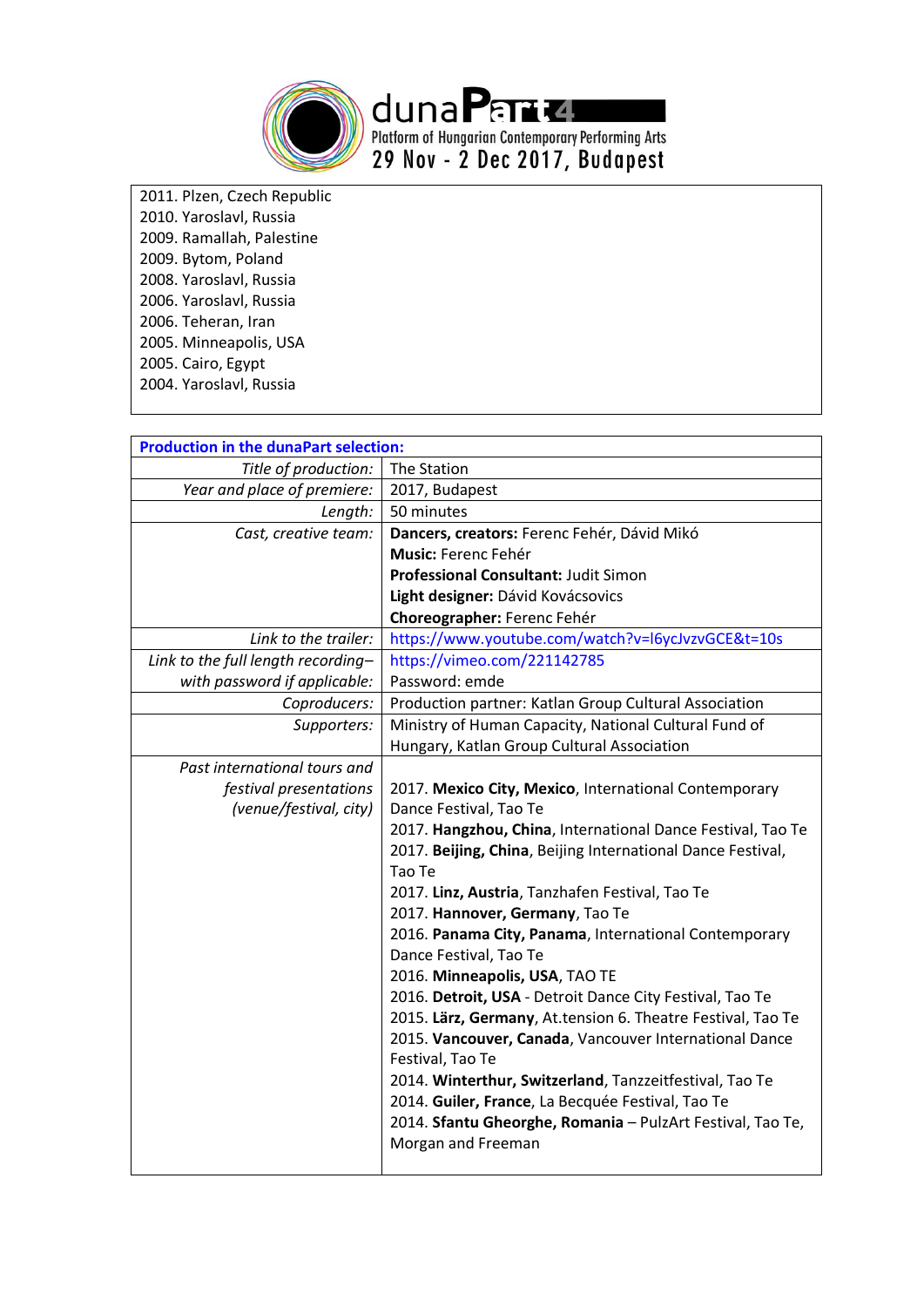

duna Perrite.<br>Platform of Hungarian Contemporary Performing Arts<br>29 Nov - 2 Dec 2017, Budapest

2011. Plzen, Czech Republic 2010. Yaroslavl, Russia 2009. Ramallah, Palestine 2009. Bytom, Poland 2008. Yaroslavl, Russia 2006. Yaroslavl, Russia 2006. Teheran, Iran 2005. Minneapolis, USA 2005. Cairo, Egypt 2004. Yaroslavl, Russia

| <b>Production in the dunaPart selection:</b> |                                                             |
|----------------------------------------------|-------------------------------------------------------------|
| Title of production:                         | The Station                                                 |
| Year and place of premiere:                  | 2017, Budapest                                              |
| Length:                                      | 50 minutes                                                  |
| Cast, creative team:                         | Dancers, creators: Ferenc Fehér, Dávid Mikó                 |
|                                              | <b>Music: Ferenc Fehér</b>                                  |
|                                              | Professional Consultant: Judit Simon                        |
|                                              | Light designer: Dávid Kovácsovics                           |
|                                              | Choreographer: Ferenc Fehér                                 |
| Link to the trailer:                         | https://www.youtube.com/watch?v=l6ycJvzvGCE&t=10s           |
| Link to the full length recording-           | https://vimeo.com/221142785                                 |
| with password if applicable:                 | Password: emde                                              |
| Coproducers:                                 | Production partner: Katlan Group Cultural Association       |
| Supporters:                                  | Ministry of Human Capacity, National Cultural Fund of       |
|                                              | Hungary, Katlan Group Cultural Association                  |
| Past international tours and                 |                                                             |
| festival presentations                       | 2017. Mexico City, Mexico, International Contemporary       |
| (venue/festival, city)                       | Dance Festival, Tao Te                                      |
|                                              | 2017. Hangzhou, China, International Dance Festival, Tao Te |
|                                              | 2017. Beijing, China, Beijing International Dance Festival, |
|                                              | Tao Te                                                      |
|                                              | 2017. Linz, Austria, Tanzhafen Festival, Tao Te             |
|                                              | 2017. Hannover, Germany, Tao Te                             |
|                                              | 2016. Panama City, Panama, International Contemporary       |
|                                              | Dance Festival, Tao Te                                      |
|                                              | 2016. Minneapolis, USA, TAO TE                              |
|                                              | 2016. Detroit, USA - Detroit Dance City Festival, Tao Te    |
|                                              | 2015. Lärz, Germany, At.tension 6. Theatre Festival, Tao Te |
|                                              | 2015. Vancouver, Canada, Vancouver International Dance      |
|                                              | Festival, Tao Te                                            |
|                                              | 2014. Winterthur, Switzerland, Tanzzeitfestival, Tao Te     |
|                                              | 2014. Guiler, France, La Becquée Festival, Tao Te           |
|                                              | 2014. Sfantu Gheorghe, Romania - PulzArt Festival, Tao Te,  |
|                                              | Morgan and Freeman                                          |
|                                              |                                                             |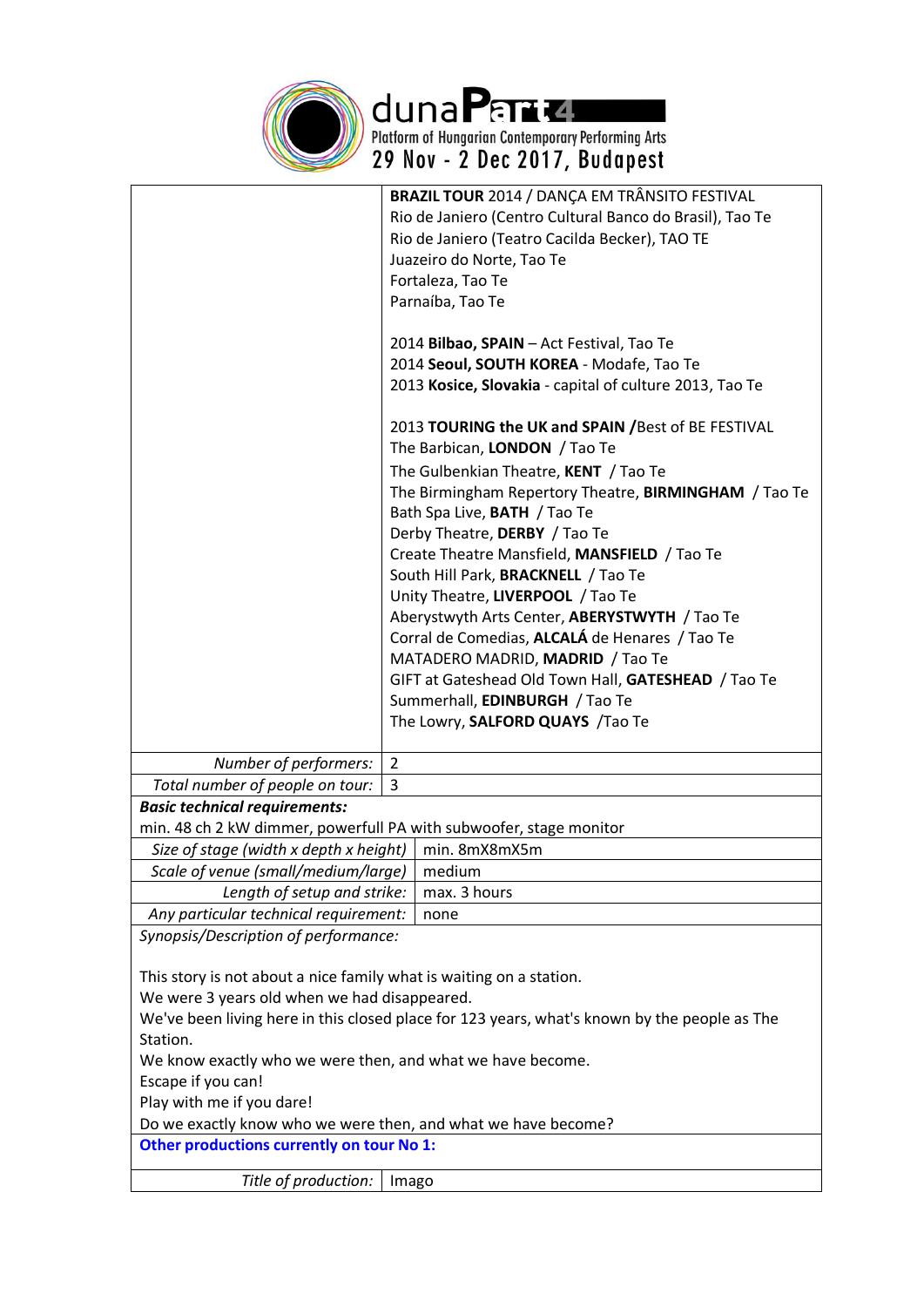

duna Para 21<br>Platform of Hungarian Contemporary Performing Arts<br>29 Nov - 2 Dec 2017, Budapest

|                                                                     | BRAZIL TOUR 2014 / DANÇA EM TRÂNSITO FESTIVAL                                                |  |  |
|---------------------------------------------------------------------|----------------------------------------------------------------------------------------------|--|--|
|                                                                     | Rio de Janiero (Centro Cultural Banco do Brasil), Tao Te                                     |  |  |
|                                                                     | Rio de Janiero (Teatro Cacilda Becker), TAO TE                                               |  |  |
|                                                                     | Juazeiro do Norte, Tao Te                                                                    |  |  |
|                                                                     | Fortaleza, Tao Te                                                                            |  |  |
|                                                                     | Parnaíba, Tao Te                                                                             |  |  |
|                                                                     |                                                                                              |  |  |
|                                                                     | 2014 Bilbao, SPAIN - Act Festival, Tao Te                                                    |  |  |
|                                                                     | 2014 Seoul, SOUTH KOREA - Modafe, Tao Te                                                     |  |  |
|                                                                     | 2013 Kosice, Slovakia - capital of culture 2013, Tao Te                                      |  |  |
|                                                                     |                                                                                              |  |  |
|                                                                     | 2013 TOURING the UK and SPAIN / Best of BE FESTIVAL                                          |  |  |
|                                                                     | The Barbican, LONDON / Tao Te                                                                |  |  |
|                                                                     | The Gulbenkian Theatre, KENT / Tao Te                                                        |  |  |
|                                                                     | The Birmingham Repertory Theatre, BIRMINGHAM / Tao Te                                        |  |  |
|                                                                     | Bath Spa Live, BATH / Tao Te                                                                 |  |  |
|                                                                     | Derby Theatre, DERBY / Tao Te                                                                |  |  |
|                                                                     | Create Theatre Mansfield, MANSFIELD / Tao Te                                                 |  |  |
|                                                                     | South Hill Park, BRACKNELL / Tao Te                                                          |  |  |
|                                                                     | Unity Theatre, LIVERPOOL / Tao Te                                                            |  |  |
|                                                                     | Aberystwyth Arts Center, ABERYSTWYTH / Tao Te                                                |  |  |
|                                                                     | Corral de Comedias, ALCALÁ de Henares / Tao Te                                               |  |  |
|                                                                     | MATADERO MADRID, MADRID / Tao Te                                                             |  |  |
|                                                                     | GIFT at Gateshead Old Town Hall, GATESHEAD / Tao Te                                          |  |  |
|                                                                     | Summerhall, EDINBURGH / Tao Te                                                               |  |  |
|                                                                     | The Lowry, SALFORD QUAYS / Tao Te                                                            |  |  |
|                                                                     |                                                                                              |  |  |
| Number of performers:                                               | $\overline{2}$                                                                               |  |  |
| Total number of people on tour:                                     | 3                                                                                            |  |  |
| <b>Basic technical requirements:</b>                                |                                                                                              |  |  |
| min. 48 ch 2 kW dimmer, powerfull PA with subwoofer, stage monitor  |                                                                                              |  |  |
| Size of stage (width x depth x height)                              | min. 8mX8mX5m                                                                                |  |  |
| Scale of venue (small/medium/large)   medium                        |                                                                                              |  |  |
| Length of setup and strike:                                         | max. 3 hours                                                                                 |  |  |
| Any particular technical requirement:                               | none                                                                                         |  |  |
| Synopsis/Description of performance:                                |                                                                                              |  |  |
|                                                                     |                                                                                              |  |  |
| This story is not about a nice family what is waiting on a station. |                                                                                              |  |  |
| We were 3 years old when we had disappeared.                        |                                                                                              |  |  |
|                                                                     | We've been living here in this closed place for 123 years, what's known by the people as The |  |  |
| Station.                                                            |                                                                                              |  |  |
| We know exactly who we were then, and what we have become.          |                                                                                              |  |  |
| Escape if you can!                                                  |                                                                                              |  |  |
| Play with me if you dare!                                           |                                                                                              |  |  |
| Do we exactly know who we were then, and what we have become?       |                                                                                              |  |  |
| Other productions currently on tour No 1:                           |                                                                                              |  |  |
|                                                                     |                                                                                              |  |  |
| Title of production:                                                | Imago                                                                                        |  |  |